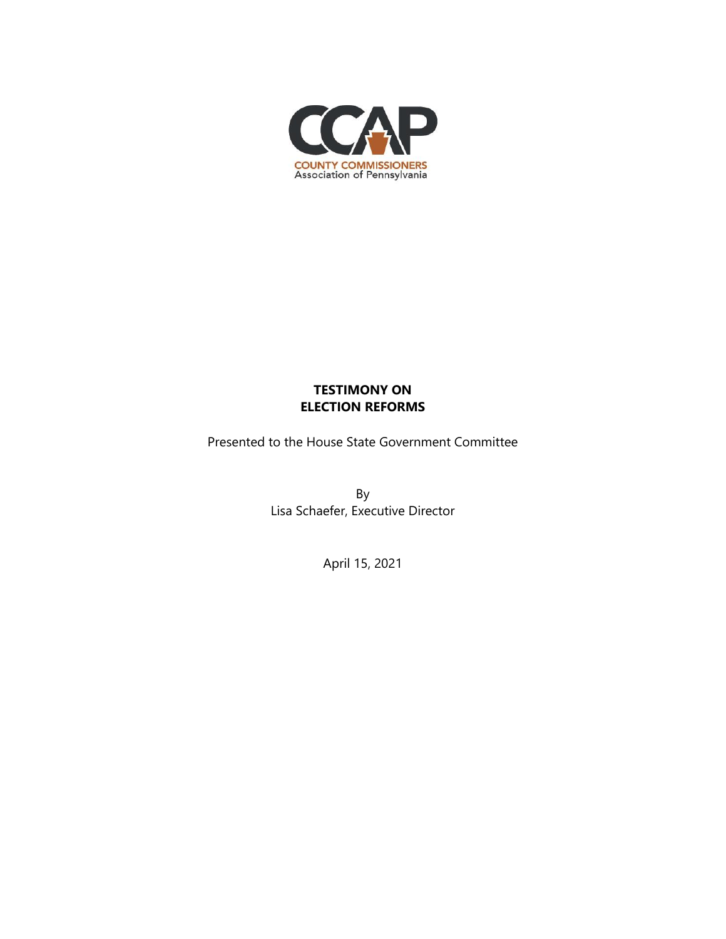

# **TESTIMONY ON ELECTION REFORMS**

Presented to the House State Government Committee

By Lisa Schaefer, Executive Director

April 15, 2021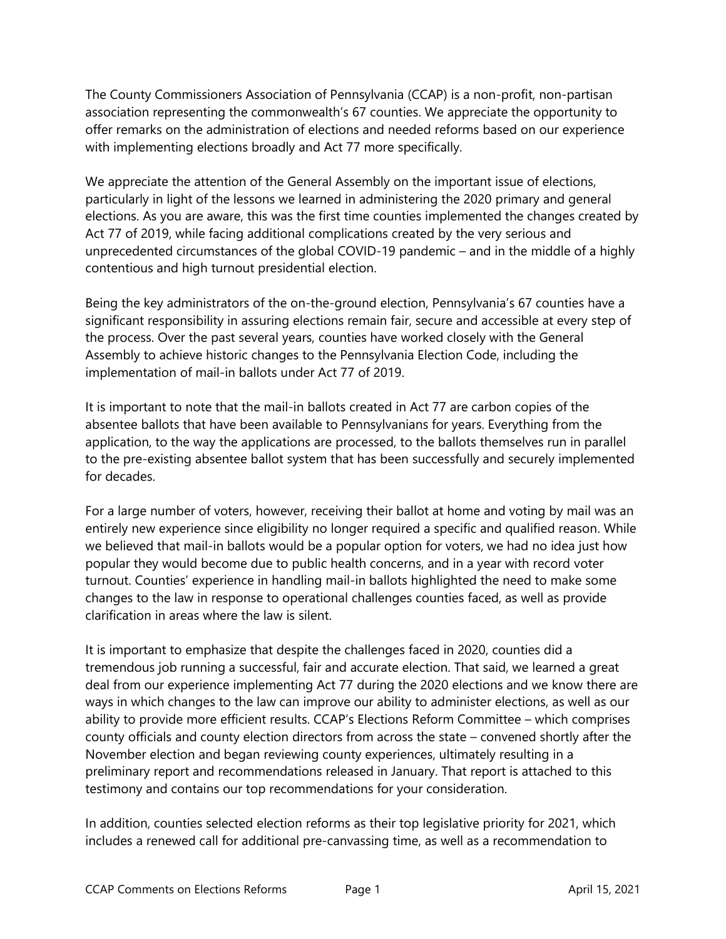The County Commissioners Association of Pennsylvania (CCAP) is a non-profit, non-partisan association representing the commonwealth's 67 counties. We appreciate the opportunity to offer remarks on the administration of elections and needed reforms based on our experience with implementing elections broadly and Act 77 more specifically.

We appreciate the attention of the General Assembly on the important issue of elections, particularly in light of the lessons we learned in administering the 2020 primary and general elections. As you are aware, this was the first time counties implemented the changes created by Act 77 of 2019, while facing additional complications created by the very serious and unprecedented circumstances of the global COVID-19 pandemic – and in the middle of a highly contentious and high turnout presidential election.

Being the key administrators of the on-the-ground election, Pennsylvania's 67 counties have a significant responsibility in assuring elections remain fair, secure and accessible at every step of the process. Over the past several years, counties have worked closely with the General Assembly to achieve historic changes to the Pennsylvania Election Code, including the implementation of mail-in ballots under Act 77 of 2019.

It is important to note that the mail-in ballots created in Act 77 are carbon copies of the absentee ballots that have been available to Pennsylvanians for years. Everything from the application, to the way the applications are processed, to the ballots themselves run in parallel to the pre-existing absentee ballot system that has been successfully and securely implemented for decades.

For a large number of voters, however, receiving their ballot at home and voting by mail was an entirely new experience since eligibility no longer required a specific and qualified reason. While we believed that mail-in ballots would be a popular option for voters, we had no idea just how popular they would become due to public health concerns, and in a year with record voter turnout. Counties' experience in handling mail-in ballots highlighted the need to make some changes to the law in response to operational challenges counties faced, as well as provide clarification in areas where the law is silent.

It is important to emphasize that despite the challenges faced in 2020, counties did a tremendous job running a successful, fair and accurate election. That said, we learned a great deal from our experience implementing Act 77 during the 2020 elections and we know there are ways in which changes to the law can improve our ability to administer elections, as well as our ability to provide more efficient results. CCAP's Elections Reform Committee – which comprises county officials and county election directors from across the state – convened shortly after the November election and began reviewing county experiences, ultimately resulting in a preliminary report and recommendations released in January. That report is attached to this testimony and contains our top recommendations for your consideration.

In addition, counties selected election reforms as their top legislative priority for 2021, which includes a renewed call for additional pre-canvassing time, as well as a recommendation to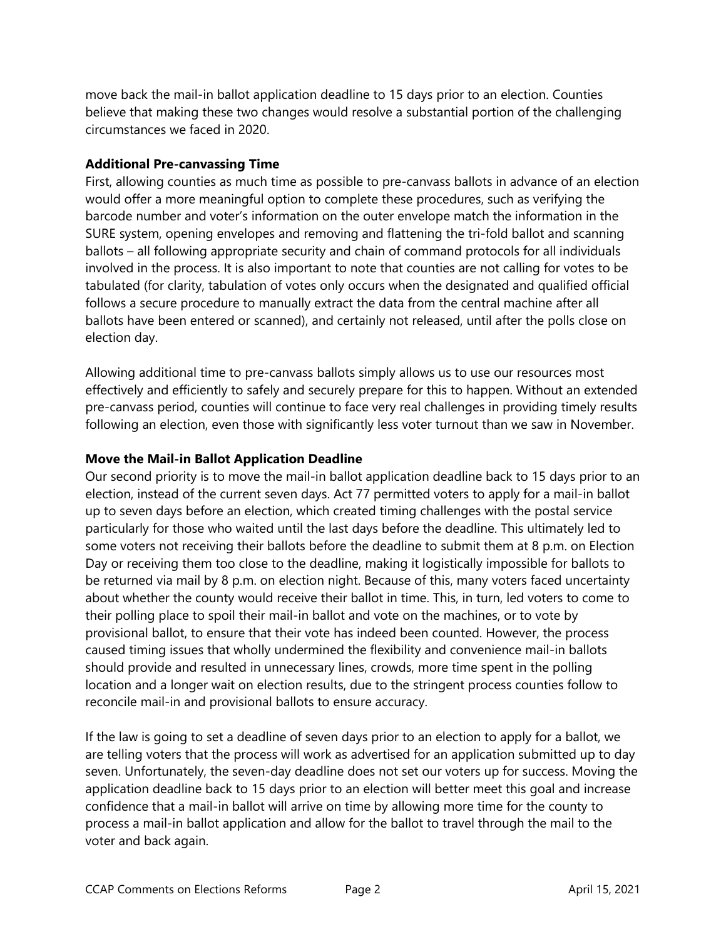move back the mail-in ballot application deadline to 15 days prior to an election. Counties believe that making these two changes would resolve a substantial portion of the challenging circumstances we faced in 2020.

## **Additional Pre-canvassing Time**

First, allowing counties as much time as possible to pre-canvass ballots in advance of an election would offer a more meaningful option to complete these procedures, such as verifying the barcode number and voter's information on the outer envelope match the information in the SURE system, opening envelopes and removing and flattening the tri-fold ballot and scanning ballots – all following appropriate security and chain of command protocols for all individuals involved in the process. It is also important to note that counties are not calling for votes to be tabulated (for clarity, tabulation of votes only occurs when the designated and qualified official follows a secure procedure to manually extract the data from the central machine after all ballots have been entered or scanned), and certainly not released, until after the polls close on election day.

Allowing additional time to pre-canvass ballots simply allows us to use our resources most effectively and efficiently to safely and securely prepare for this to happen. Without an extended pre-canvass period, counties will continue to face very real challenges in providing timely results following an election, even those with significantly less voter turnout than we saw in November.

## **Move the Mail-in Ballot Application Deadline**

Our second priority is to move the mail-in ballot application deadline back to 15 days prior to an election, instead of the current seven days. Act 77 permitted voters to apply for a mail-in ballot up to seven days before an election, which created timing challenges with the postal service particularly for those who waited until the last days before the deadline. This ultimately led to some voters not receiving their ballots before the deadline to submit them at 8 p.m. on Election Day or receiving them too close to the deadline, making it logistically impossible for ballots to be returned via mail by 8 p.m. on election night. Because of this, many voters faced uncertainty about whether the county would receive their ballot in time. This, in turn, led voters to come to their polling place to spoil their mail-in ballot and vote on the machines, or to vote by provisional ballot, to ensure that their vote has indeed been counted. However, the process caused timing issues that wholly undermined the flexibility and convenience mail-in ballots should provide and resulted in unnecessary lines, crowds, more time spent in the polling location and a longer wait on election results, due to the stringent process counties follow to reconcile mail-in and provisional ballots to ensure accuracy.

If the law is going to set a deadline of seven days prior to an election to apply for a ballot, we are telling voters that the process will work as advertised for an application submitted up to day seven. Unfortunately, the seven-day deadline does not set our voters up for success. Moving the application deadline back to 15 days prior to an election will better meet this goal and increase confidence that a mail-in ballot will arrive on time by allowing more time for the county to process a mail-in ballot application and allow for the ballot to travel through the mail to the voter and back again.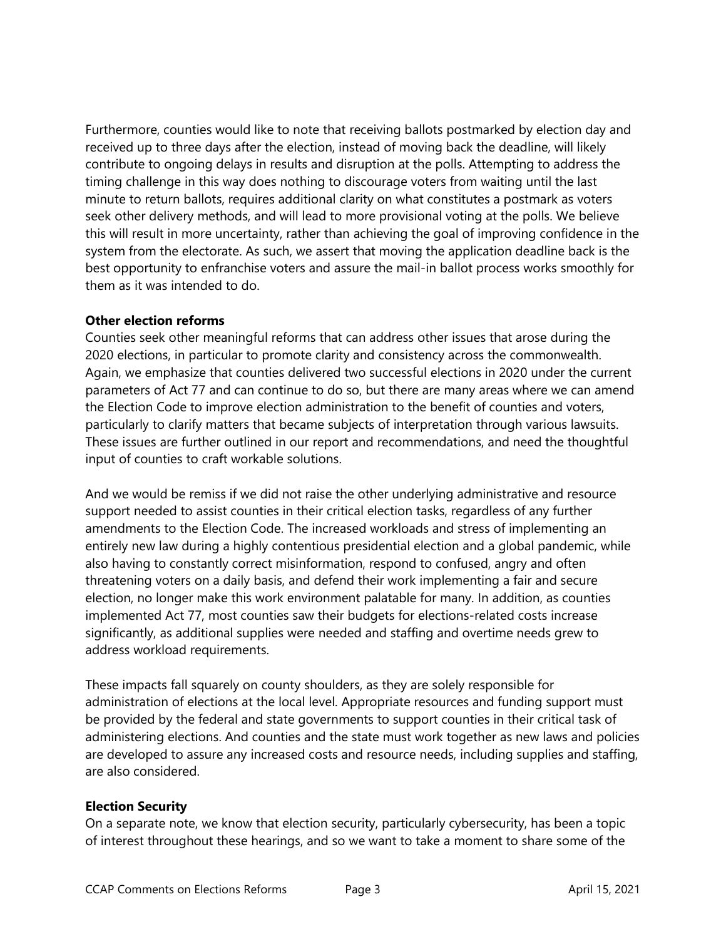Furthermore, counties would like to note that receiving ballots postmarked by election day and received up to three days after the election, instead of moving back the deadline, will likely contribute to ongoing delays in results and disruption at the polls. Attempting to address the timing challenge in this way does nothing to discourage voters from waiting until the last minute to return ballots, requires additional clarity on what constitutes a postmark as voters seek other delivery methods, and will lead to more provisional voting at the polls. We believe this will result in more uncertainty, rather than achieving the goal of improving confidence in the system from the electorate. As such, we assert that moving the application deadline back is the best opportunity to enfranchise voters and assure the mail-in ballot process works smoothly for them as it was intended to do.

## **Other election reforms**

Counties seek other meaningful reforms that can address other issues that arose during the 2020 elections, in particular to promote clarity and consistency across the commonwealth. Again, we emphasize that counties delivered two successful elections in 2020 under the current parameters of Act 77 and can continue to do so, but there are many areas where we can amend the Election Code to improve election administration to the benefit of counties and voters, particularly to clarify matters that became subjects of interpretation through various lawsuits. These issues are further outlined in our report and recommendations, and need the thoughtful input of counties to craft workable solutions.

And we would be remiss if we did not raise the other underlying administrative and resource support needed to assist counties in their critical election tasks, regardless of any further amendments to the Election Code. The increased workloads and stress of implementing an entirely new law during a highly contentious presidential election and a global pandemic, while also having to constantly correct misinformation, respond to confused, angry and often threatening voters on a daily basis, and defend their work implementing a fair and secure election, no longer make this work environment palatable for many. In addition, as counties implemented Act 77, most counties saw their budgets for elections-related costs increase significantly, as additional supplies were needed and staffing and overtime needs grew to address workload requirements.

These impacts fall squarely on county shoulders, as they are solely responsible for administration of elections at the local level. Appropriate resources and funding support must be provided by the federal and state governments to support counties in their critical task of administering elections. And counties and the state must work together as new laws and policies are developed to assure any increased costs and resource needs, including supplies and staffing, are also considered.

#### **Election Security**

On a separate note, we know that election security, particularly cybersecurity, has been a topic of interest throughout these hearings, and so we want to take a moment to share some of the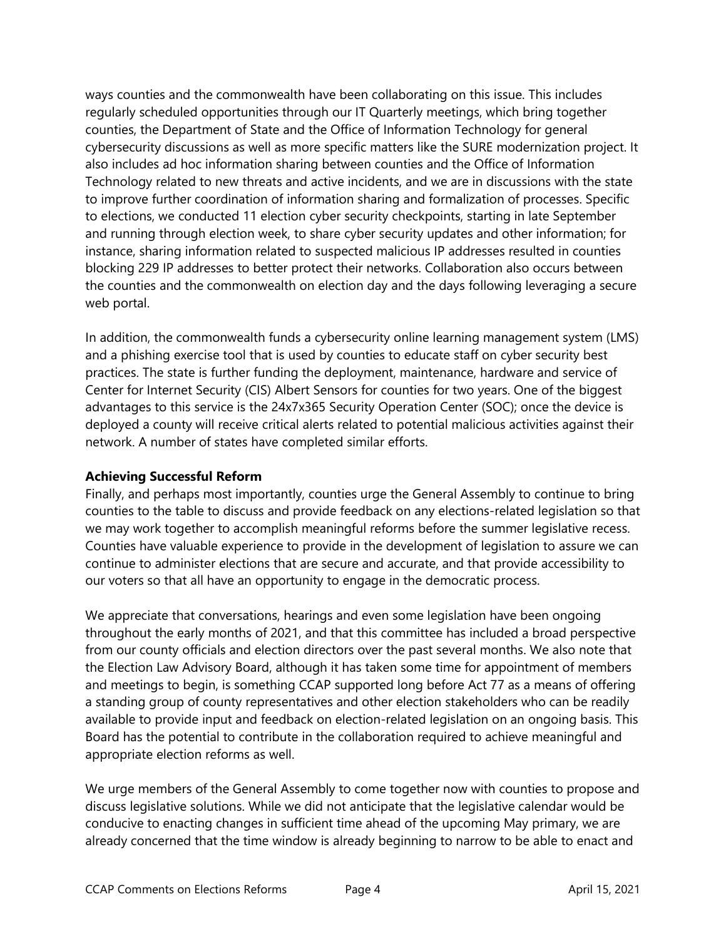ways counties and the commonwealth have been collaborating on this issue. This includes regularly scheduled opportunities through our IT Quarterly meetings, which bring together counties, the Department of State and the Office of Information Technology for general cybersecurity discussions as well as more specific matters like the SURE modernization project. It also includes ad hoc information sharing between counties and the Office of Information Technology related to new threats and active incidents, and we are in discussions with the state to improve further coordination of information sharing and formalization of processes. Specific to elections, we conducted 11 election cyber security checkpoints, starting in late September and running through election week, to share cyber security updates and other information; for instance, sharing information related to suspected malicious IP addresses resulted in counties blocking 229 IP addresses to better protect their networks. Collaboration also occurs between the counties and the commonwealth on election day and the days following leveraging a secure web portal.

In addition, the commonwealth funds a cybersecurity online learning management system (LMS) and a phishing exercise tool that is used by counties to educate staff on cyber security best practices. The state is further funding the deployment, maintenance, hardware and service of Center for Internet Security (CIS) Albert Sensors for counties for two years. One of the biggest advantages to this service is the 24x7x365 Security Operation Center (SOC); once the device is deployed a county will receive critical alerts related to potential malicious activities against their network. A number of states have completed similar efforts.

## **Achieving Successful Reform**

Finally, and perhaps most importantly, counties urge the General Assembly to continue to bring counties to the table to discuss and provide feedback on any elections-related legislation so that we may work together to accomplish meaningful reforms before the summer legislative recess. Counties have valuable experience to provide in the development of legislation to assure we can continue to administer elections that are secure and accurate, and that provide accessibility to our voters so that all have an opportunity to engage in the democratic process.

We appreciate that conversations, hearings and even some legislation have been ongoing throughout the early months of 2021, and that this committee has included a broad perspective from our county officials and election directors over the past several months. We also note that the Election Law Advisory Board, although it has taken some time for appointment of members and meetings to begin, is something CCAP supported long before Act 77 as a means of offering a standing group of county representatives and other election stakeholders who can be readily available to provide input and feedback on election-related legislation on an ongoing basis. This Board has the potential to contribute in the collaboration required to achieve meaningful and appropriate election reforms as well.

We urge members of the General Assembly to come together now with counties to propose and discuss legislative solutions. While we did not anticipate that the legislative calendar would be conducive to enacting changes in sufficient time ahead of the upcoming May primary, we are already concerned that the time window is already beginning to narrow to be able to enact and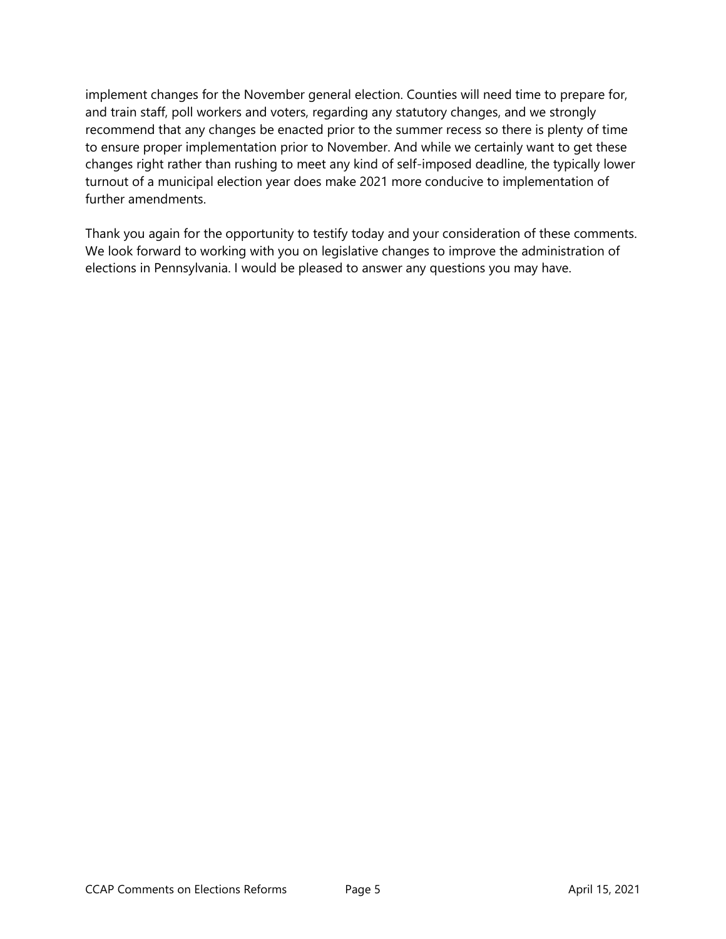implement changes for the November general election. Counties will need time to prepare for, and train staff, poll workers and voters, regarding any statutory changes, and we strongly recommend that any changes be enacted prior to the summer recess so there is plenty of time to ensure proper implementation prior to November. And while we certainly want to get these changes right rather than rushing to meet any kind of self-imposed deadline, the typically lower turnout of a municipal election year does make 2021 more conducive to implementation of further amendments.

Thank you again for the opportunity to testify today and your consideration of these comments. We look forward to working with you on legislative changes to improve the administration of elections in Pennsylvania. I would be pleased to answer any questions you may have.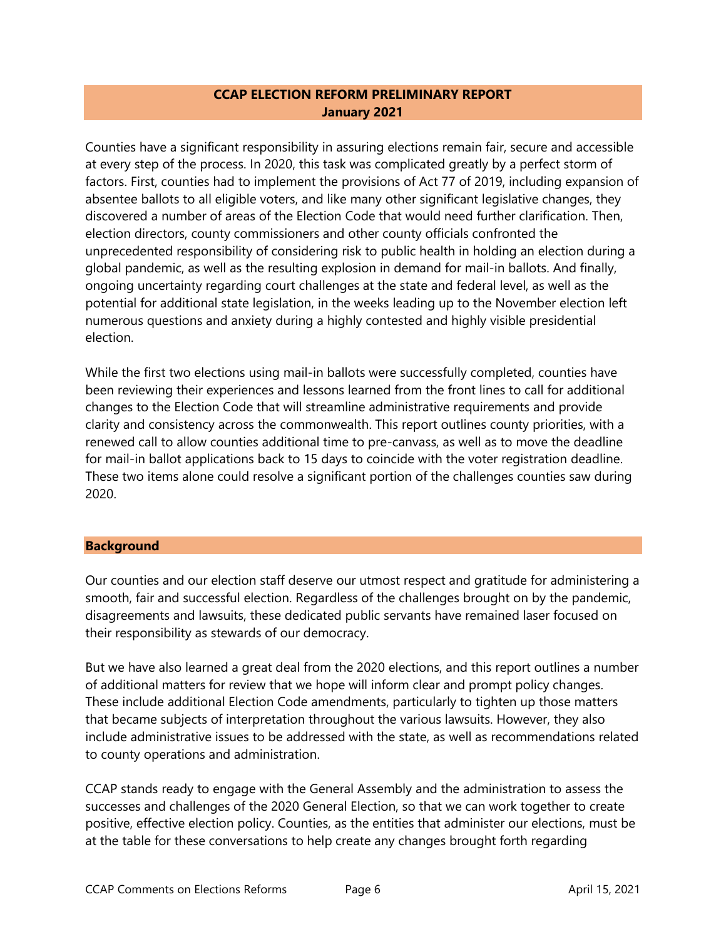## **CCAP ELECTION REFORM PRELIMINARY REPORT January 2021**

Counties have a significant responsibility in assuring elections remain fair, secure and accessible at every step of the process. In 2020, this task was complicated greatly by a perfect storm of factors. First, counties had to implement the provisions of Act 77 of 2019, including expansion of absentee ballots to all eligible voters, and like many other significant legislative changes, they discovered a number of areas of the Election Code that would need further clarification. Then, election directors, county commissioners and other county officials confronted the unprecedented responsibility of considering risk to public health in holding an election during a global pandemic, as well as the resulting explosion in demand for mail-in ballots. And finally, ongoing uncertainty regarding court challenges at the state and federal level, as well as the potential for additional state legislation, in the weeks leading up to the November election left numerous questions and anxiety during a highly contested and highly visible presidential election.

While the first two elections using mail-in ballots were successfully completed, counties have been reviewing their experiences and lessons learned from the front lines to call for additional changes to the Election Code that will streamline administrative requirements and provide clarity and consistency across the commonwealth. This report outlines county priorities, with a renewed call to allow counties additional time to pre-canvass, as well as to move the deadline for mail-in ballot applications back to 15 days to coincide with the voter registration deadline. These two items alone could resolve a significant portion of the challenges counties saw during 2020.

#### **Background**

Our counties and our election staff deserve our utmost respect and gratitude for administering a smooth, fair and successful election. Regardless of the challenges brought on by the pandemic, disagreements and lawsuits, these dedicated public servants have remained laser focused on their responsibility as stewards of our democracy.

But we have also learned a great deal from the 2020 elections, and this report outlines a number of additional matters for review that we hope will inform clear and prompt policy changes. These include additional Election Code amendments, particularly to tighten up those matters that became subjects of interpretation throughout the various lawsuits. However, they also include administrative issues to be addressed with the state, as well as recommendations related to county operations and administration.

CCAP stands ready to engage with the General Assembly and the administration to assess the successes and challenges of the 2020 General Election, so that we can work together to create positive, effective election policy. Counties, as the entities that administer our elections, must be at the table for these conversations to help create any changes brought forth regarding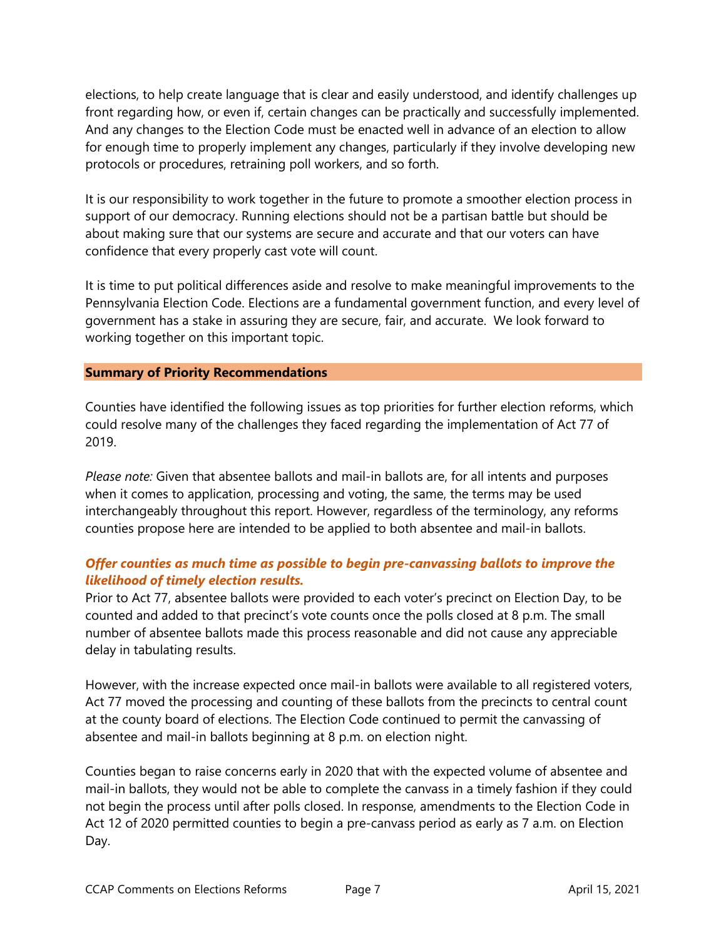elections, to help create language that is clear and easily understood, and identify challenges up front regarding how, or even if, certain changes can be practically and successfully implemented. And any changes to the Election Code must be enacted well in advance of an election to allow for enough time to properly implement any changes, particularly if they involve developing new protocols or procedures, retraining poll workers, and so forth.

It is our responsibility to work together in the future to promote a smoother election process in support of our democracy. Running elections should not be a partisan battle but should be about making sure that our systems are secure and accurate and that our voters can have confidence that every properly cast vote will count.

It is time to put political differences aside and resolve to make meaningful improvements to the Pennsylvania Election Code. Elections are a fundamental government function, and every level of government has a stake in assuring they are secure, fair, and accurate. We look forward to working together on this important topic.

#### **Summary of Priority Recommendations**

Counties have identified the following issues as top priorities for further election reforms, which could resolve many of the challenges they faced regarding the implementation of Act 77 of 2019.

*Please note:* Given that absentee ballots and mail-in ballots are, for all intents and purposes when it comes to application, processing and voting, the same, the terms may be used interchangeably throughout this report. However, regardless of the terminology, any reforms counties propose here are intended to be applied to both absentee and mail-in ballots.

## *Offer counties as much time as possible to begin pre-canvassing ballots to improve the likelihood of timely election results.*

Prior to Act 77, absentee ballots were provided to each voter's precinct on Election Day, to be counted and added to that precinct's vote counts once the polls closed at 8 p.m. The small number of absentee ballots made this process reasonable and did not cause any appreciable delay in tabulating results.

However, with the increase expected once mail-in ballots were available to all registered voters, Act 77 moved the processing and counting of these ballots from the precincts to central count at the county board of elections. The Election Code continued to permit the canvassing of absentee and mail-in ballots beginning at 8 p.m. on election night.

Counties began to raise concerns early in 2020 that with the expected volume of absentee and mail-in ballots, they would not be able to complete the canvass in a timely fashion if they could not begin the process until after polls closed. In response, amendments to the Election Code in Act 12 of 2020 permitted counties to begin a pre-canvass period as early as 7 a.m. on Election Day.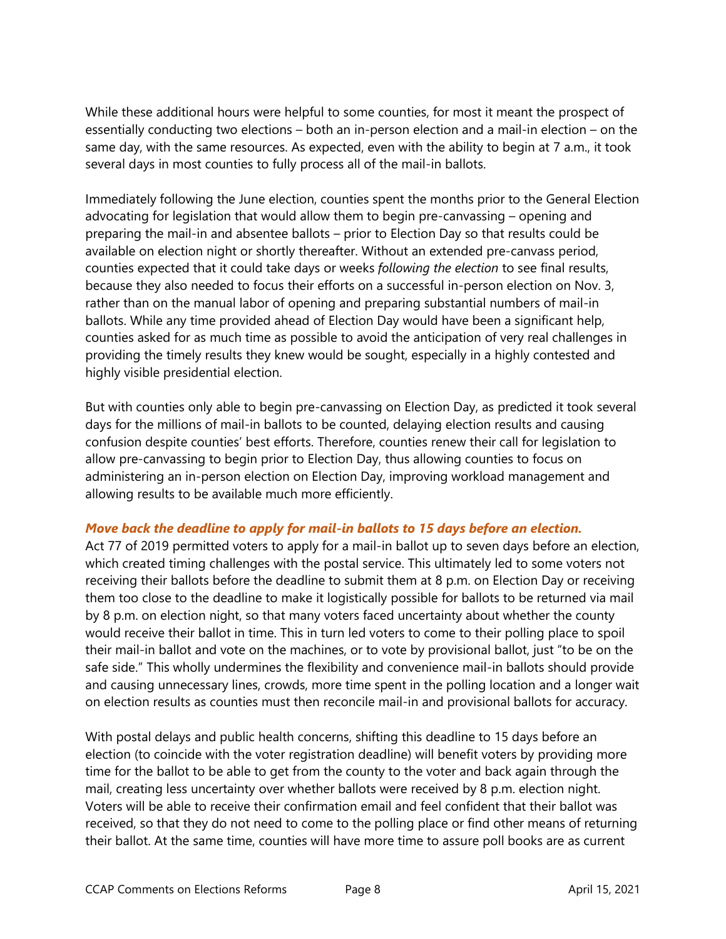While these additional hours were helpful to some counties, for most it meant the prospect of essentially conducting two elections – both an in-person election and a mail-in election – on the same day, with the same resources. As expected, even with the ability to begin at 7 a.m., it took several days in most counties to fully process all of the mail-in ballots.

Immediately following the June election, counties spent the months prior to the General Election advocating for legislation that would allow them to begin pre-canvassing – opening and preparing the mail-in and absentee ballots – prior to Election Day so that results could be available on election night or shortly thereafter. Without an extended pre-canvass period, counties expected that it could take days or weeks *following the election* to see final results, because they also needed to focus their efforts on a successful in-person election on Nov. 3, rather than on the manual labor of opening and preparing substantial numbers of mail-in ballots. While any time provided ahead of Election Day would have been a significant help, counties asked for as much time as possible to avoid the anticipation of very real challenges in providing the timely results they knew would be sought, especially in a highly contested and highly visible presidential election.

But with counties only able to begin pre-canvassing on Election Day, as predicted it took several days for the millions of mail-in ballots to be counted, delaying election results and causing confusion despite counties' best efforts. Therefore, counties renew their call for legislation to allow pre-canvassing to begin prior to Election Day, thus allowing counties to focus on administering an in-person election on Election Day, improving workload management and allowing results to be available much more efficiently.

#### *Move back the deadline to apply for mail-in ballots to 15 days before an election.*

Act 77 of 2019 permitted voters to apply for a mail-in ballot up to seven days before an election, which created timing challenges with the postal service. This ultimately led to some voters not receiving their ballots before the deadline to submit them at 8 p.m. on Election Day or receiving them too close to the deadline to make it logistically possible for ballots to be returned via mail by 8 p.m. on election night, so that many voters faced uncertainty about whether the county would receive their ballot in time. This in turn led voters to come to their polling place to spoil their mail-in ballot and vote on the machines, or to vote by provisional ballot, just "to be on the safe side." This wholly undermines the flexibility and convenience mail-in ballots should provide and causing unnecessary lines, crowds, more time spent in the polling location and a longer wait on election results as counties must then reconcile mail-in and provisional ballots for accuracy.

With postal delays and public health concerns, shifting this deadline to 15 days before an election (to coincide with the voter registration deadline) will benefit voters by providing more time for the ballot to be able to get from the county to the voter and back again through the mail, creating less uncertainty over whether ballots were received by 8 p.m. election night. Voters will be able to receive their confirmation email and feel confident that their ballot was received, so that they do not need to come to the polling place or find other means of returning their ballot. At the same time, counties will have more time to assure poll books are as current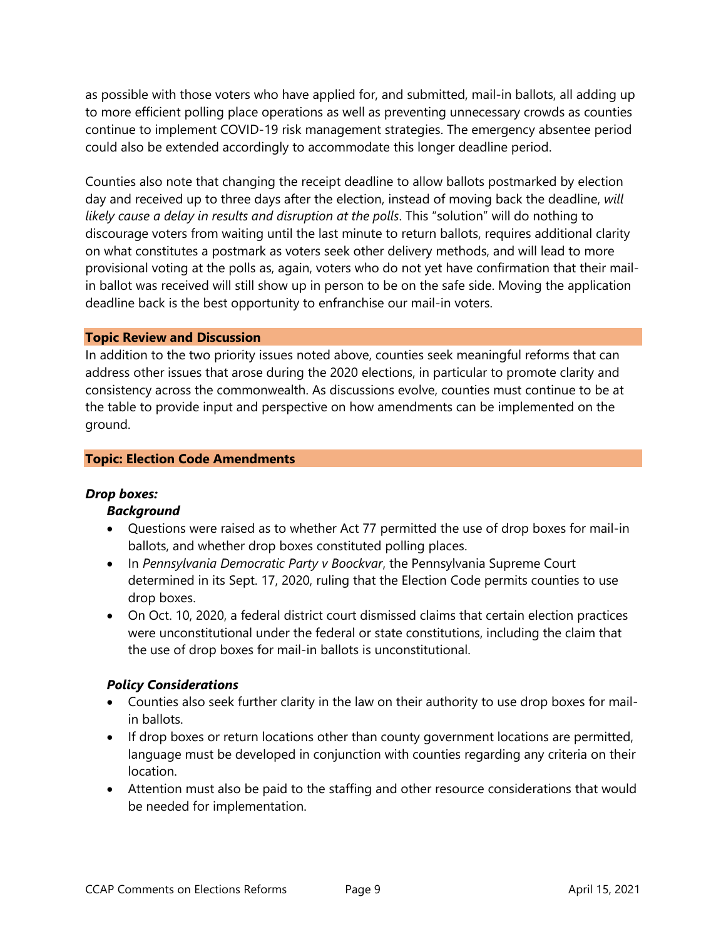as possible with those voters who have applied for, and submitted, mail-in ballots, all adding up to more efficient polling place operations as well as preventing unnecessary crowds as counties continue to implement COVID-19 risk management strategies. The emergency absentee period could also be extended accordingly to accommodate this longer deadline period.

Counties also note that changing the receipt deadline to allow ballots postmarked by election day and received up to three days after the election, instead of moving back the deadline, *will likely cause a delay in results and disruption at the polls*. This "solution" will do nothing to discourage voters from waiting until the last minute to return ballots, requires additional clarity on what constitutes a postmark as voters seek other delivery methods, and will lead to more provisional voting at the polls as, again, voters who do not yet have confirmation that their mailin ballot was received will still show up in person to be on the safe side. Moving the application deadline back is the best opportunity to enfranchise our mail-in voters.

#### **Topic Review and Discussion**

In addition to the two priority issues noted above, counties seek meaningful reforms that can address other issues that arose during the 2020 elections, in particular to promote clarity and consistency across the commonwealth. As discussions evolve, counties must continue to be at the table to provide input and perspective on how amendments can be implemented on the ground.

#### **Topic: Election Code Amendments**

#### *Drop boxes:*

#### *Background*

- Questions were raised as to whether Act 77 permitted the use of drop boxes for mail-in ballots, and whether drop boxes constituted polling places.
- In *Pennsylvania Democratic Party v Boockvar*, the Pennsylvania Supreme Court determined in its Sept. 17, 2020, ruling that the Election Code permits counties to use drop boxes.
- On Oct. 10, 2020, a federal district court dismissed claims that certain election practices were unconstitutional under the federal or state constitutions, including the claim that the use of drop boxes for mail-in ballots is unconstitutional.

#### *Policy Considerations*

- Counties also seek further clarity in the law on their authority to use drop boxes for mailin ballots.
- If drop boxes or return locations other than county government locations are permitted, language must be developed in conjunction with counties regarding any criteria on their location.
- Attention must also be paid to the staffing and other resource considerations that would be needed for implementation.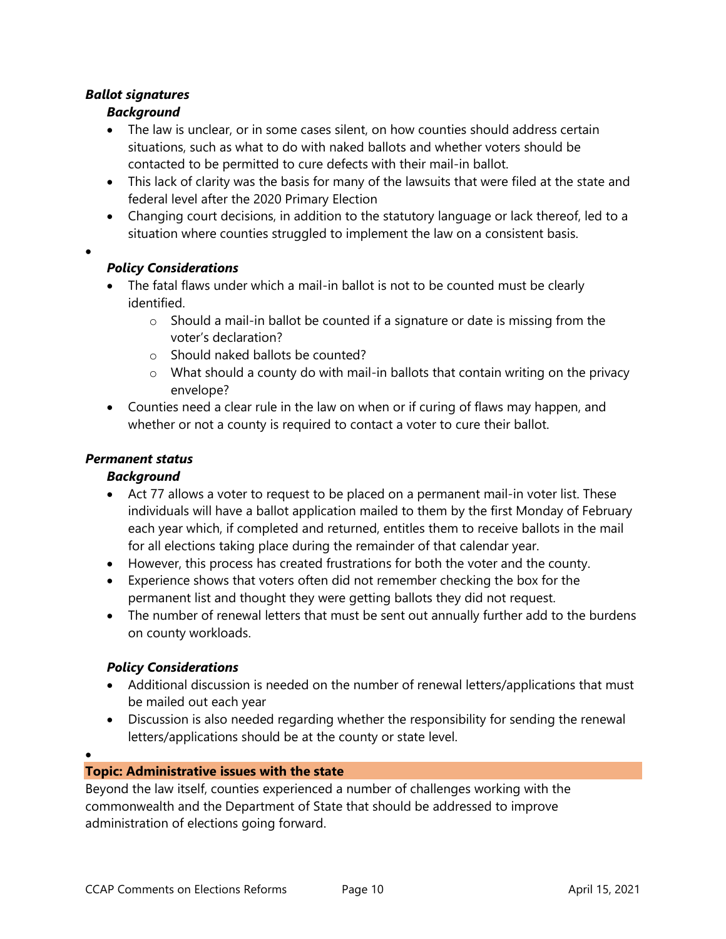# *Ballot signatures*

•

•

# *Background*

- The law is unclear, or in some cases silent, on how counties should address certain situations, such as what to do with naked ballots and whether voters should be contacted to be permitted to cure defects with their mail-in ballot.
- This lack of clarity was the basis for many of the lawsuits that were filed at the state and federal level after the 2020 Primary Election
- Changing court decisions, in addition to the statutory language or lack thereof, led to a situation where counties struggled to implement the law on a consistent basis.

## *Policy Considerations*

- The fatal flaws under which a mail-in ballot is not to be counted must be clearly identified.
	- $\circ$  Should a mail-in ballot be counted if a signature or date is missing from the voter's declaration?
	- o Should naked ballots be counted?
	- $\circ$  What should a county do with mail-in ballots that contain writing on the privacy envelope?
- Counties need a clear rule in the law on when or if curing of flaws may happen, and whether or not a county is required to contact a voter to cure their ballot.

## *Permanent status*

## *Background*

- Act 77 allows a voter to request to be placed on a permanent mail-in voter list. These individuals will have a ballot application mailed to them by the first Monday of February each year which, if completed and returned, entitles them to receive ballots in the mail for all elections taking place during the remainder of that calendar year.
- However, this process has created frustrations for both the voter and the county.
- Experience shows that voters often did not remember checking the box for the permanent list and thought they were getting ballots they did not request.
- The number of renewal letters that must be sent out annually further add to the burdens on county workloads.

## *Policy Considerations*

- Additional discussion is needed on the number of renewal letters/applications that must be mailed out each year
- Discussion is also needed regarding whether the responsibility for sending the renewal letters/applications should be at the county or state level.

## **Topic: Administrative issues with the state**

Beyond the law itself, counties experienced a number of challenges working with the commonwealth and the Department of State that should be addressed to improve administration of elections going forward.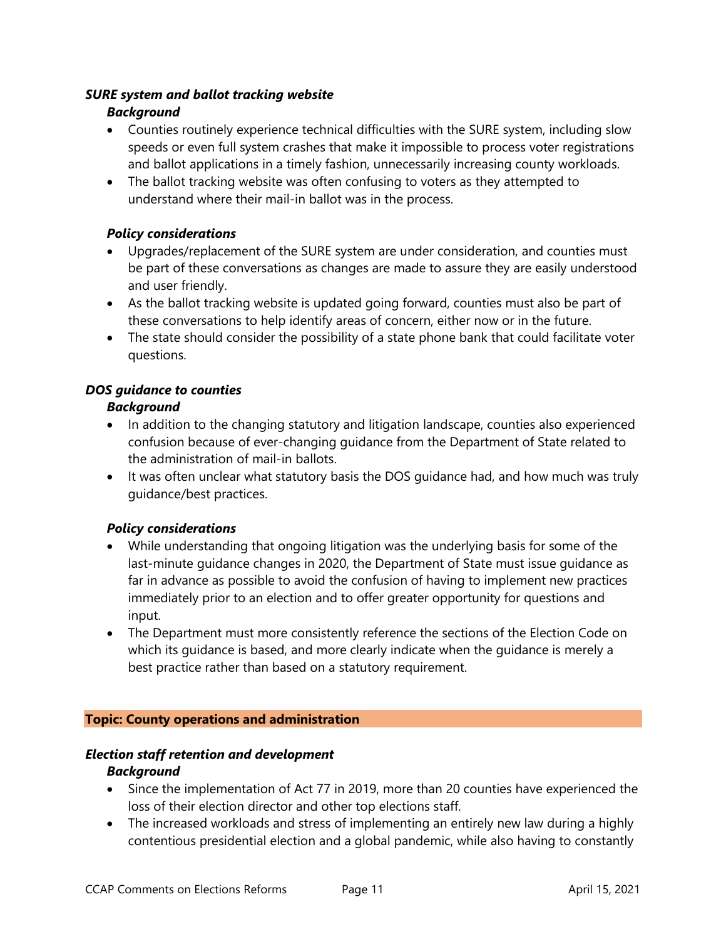## *SURE system and ballot tracking website*

## *Background*

- Counties routinely experience technical difficulties with the SURE system, including slow speeds or even full system crashes that make it impossible to process voter registrations and ballot applications in a timely fashion, unnecessarily increasing county workloads.
- The ballot tracking website was often confusing to voters as they attempted to understand where their mail-in ballot was in the process.

## *Policy considerations*

- Upgrades/replacement of the SURE system are under consideration, and counties must be part of these conversations as changes are made to assure they are easily understood and user friendly.
- As the ballot tracking website is updated going forward, counties must also be part of these conversations to help identify areas of concern, either now or in the future.
- The state should consider the possibility of a state phone bank that could facilitate voter questions.

## *DOS guidance to counties*

## *Background*

- In addition to the changing statutory and litigation landscape, counties also experienced confusion because of ever-changing guidance from the Department of State related to the administration of mail-in ballots.
- It was often unclear what statutory basis the DOS guidance had, and how much was truly guidance/best practices.

## *Policy considerations*

- While understanding that ongoing litigation was the underlying basis for some of the last-minute guidance changes in 2020, the Department of State must issue guidance as far in advance as possible to avoid the confusion of having to implement new practices immediately prior to an election and to offer greater opportunity for questions and input.
- The Department must more consistently reference the sections of the Election Code on which its guidance is based, and more clearly indicate when the guidance is merely a best practice rather than based on a statutory requirement.

#### **Topic: County operations and administration**

#### *Election staff retention and development*

#### *Background*

- Since the implementation of Act 77 in 2019, more than 20 counties have experienced the loss of their election director and other top elections staff.
- The increased workloads and stress of implementing an entirely new law during a highly contentious presidential election and a global pandemic, while also having to constantly